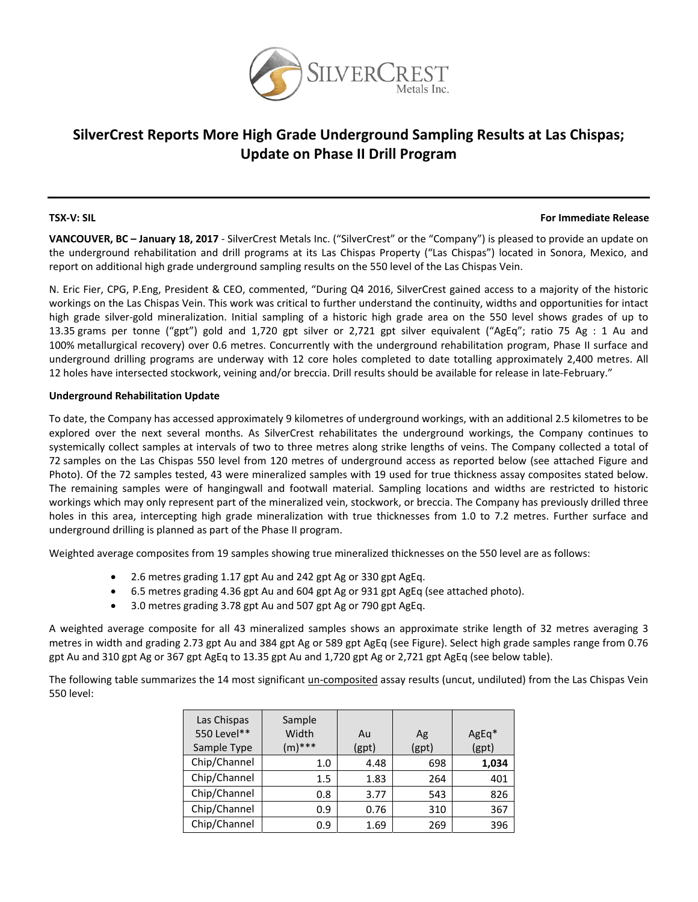

## **SilverCrest Reports More High Grade Underground Sampling Results at Las Chispas; Update on Phase II Drill Program**

#### **TSX‐V: SIL For Immediate Release**

**VANCOUVER, BC – January 18, 2017** ‐ SilverCrest Metals Inc. ("SilverCrest" or the "Company") is pleased to provide an update on the underground rehabilitation and drill programs at its Las Chispas Property ("Las Chispas") located in Sonora, Mexico, and report on additional high grade underground sampling results on the 550 level of the Las Chispas Vein.

N. Eric Fier, CPG, P.Eng, President & CEO, commented, "During Q4 2016, SilverCrest gained access to a majority of the historic workings on the Las Chispas Vein. This work was critical to further understand the continuity, widths and opportunities for intact high grade silver‐gold mineralization. Initial sampling of a historic high grade area on the 550 level shows grades of up to 13.35 grams per tonne ("gpt") gold and 1,720 gpt silver or 2,721 gpt silver equivalent ("AgEq"; ratio 75 Ag : 1 Au and 100% metallurgical recovery) over 0.6 metres. Concurrently with the underground rehabilitation program, Phase II surface and underground drilling programs are underway with 12 core holes completed to date totalling approximately 2,400 metres. All 12 holes have intersected stockwork, veining and/or breccia. Drill results should be available for release in late-February."

### **Underground Rehabilitation Update**

To date, the Company has accessed approximately 9 kilometres of underground workings, with an additional 2.5 kilometres to be explored over the next several months. As SilverCrest rehabilitates the underground workings, the Company continues to systemically collect samples at intervals of two to three metres along strike lengths of veins. The Company collected a total of 72 samples on the Las Chispas 550 level from 120 metres of underground access as reported below (see attached Figure and Photo). Of the 72 samples tested, 43 were mineralized samples with 19 used for true thickness assay composites stated below. The remaining samples were of hangingwall and footwall material. Sampling locations and widths are restricted to historic workings which may only represent part of the mineralized vein, stockwork, or breccia. The Company has previously drilled three holes in this area, intercepting high grade mineralization with true thicknesses from 1.0 to 7.2 metres. Further surface and underground drilling is planned as part of the Phase II program.

Weighted average composites from 19 samples showing true mineralized thicknesses on the 550 level are as follows:

- 2.6 metres grading 1.17 gpt Au and 242 gpt Ag or 330 gpt AgEq.
- 6.5 metres grading 4.36 gpt Au and 604 gpt Ag or 931 gpt AgEq (see attached photo).
- 3.0 metres grading 3.78 gpt Au and 507 gpt Ag or 790 gpt AgEq.

A weighted average composite for all 43 mineralized samples shows an approximate strike length of 32 metres averaging 3 metres in width and grading 2.73 gpt Au and 384 gpt Ag or 589 gpt AgEq (see Figure). Select high grade samples range from 0.76 gpt Au and 310 gpt Ag or 367 gpt AgEq to 13.35 gpt Au and 1,720 gpt Ag or 2,721 gpt AgEq (see below table).

The following table summarizes the 14 most significant un-composited assay results (uncut, undiluted) from the Las Chispas Vein 550 level:

| Las Chispas<br>550 Level**<br>Sample Type | Sample<br>Width<br>$(m)$ *** | Au<br>(gpt) | Ag<br>(gpt) | AgEq*<br>(gpt) |
|-------------------------------------------|------------------------------|-------------|-------------|----------------|
| Chip/Channel                              | 1.0                          | 4.48        | 698         | 1,034          |
| Chip/Channel                              | 1.5                          | 1.83        | 264         | 401            |
| Chip/Channel                              | 0.8                          | 3.77        | 543         | 826            |
| Chip/Channel                              | 0.9                          | 0.76        | 310         | 367            |
| Chip/Channel                              | 0.9                          | 1.69        | 269         | 396            |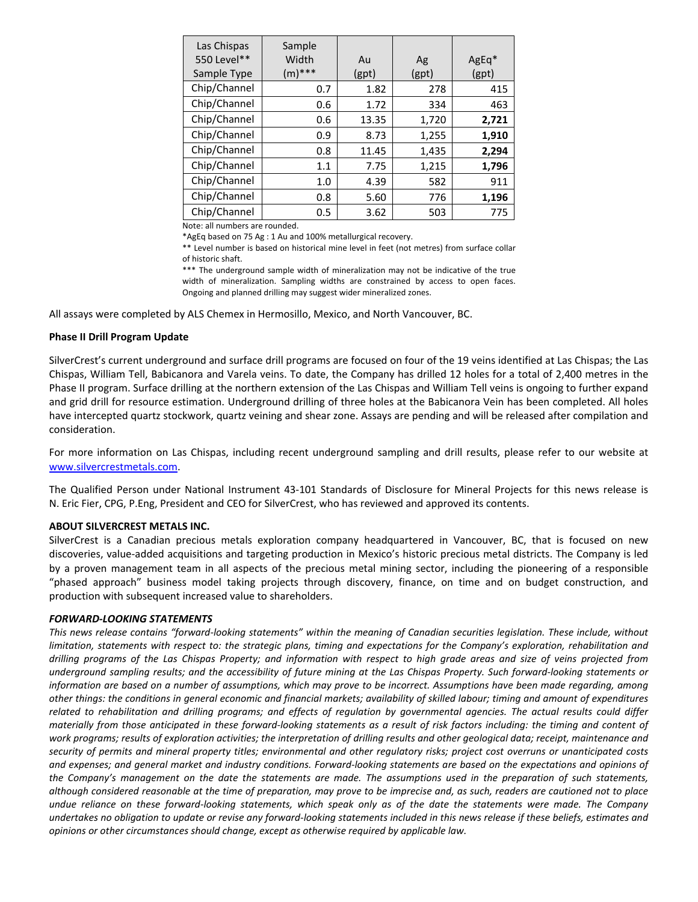| Las Chispas<br>550 Level**<br>Sample Type | Sample<br>Width<br>$(m)$ *** | Au<br>(gpt) | Ag<br>(gpt) | $AgEq*$<br>(gpt) |
|-------------------------------------------|------------------------------|-------------|-------------|------------------|
| Chip/Channel                              | 0.7                          | 1.82        | 278         | 415              |
| Chip/Channel                              | 0.6                          | 1.72        | 334         | 463              |
| Chip/Channel                              | 0.6                          | 13.35       | 1,720       | 2,721            |
| Chip/Channel                              | 0.9                          | 8.73        | 1,255       | 1,910            |
| Chip/Channel                              | 0.8                          | 11.45       | 1,435       | 2,294            |
| Chip/Channel                              | 1.1                          | 7.75        | 1,215       | 1,796            |
| Chip/Channel                              | 1.0                          | 4.39        | 582         | 911              |
| Chip/Channel                              | 0.8                          | 5.60        | 776         | 1,196            |
| Chip/Channel                              | 0.5                          | 3.62        | 503         | 775              |

Note: all numbers are rounded.

\*AgEq based on 75 Ag : 1 Au and 100% metallurgical recovery.

\*\* Level number is based on historical mine level in feet (not metres) from surface collar of historic shaft.

\*\*\* The underground sample width of mineralization may not be indicative of the true width of mineralization. Sampling widths are constrained by access to open faces. Ongoing and planned drilling may suggest wider mineralized zones.

All assays were completed by ALS Chemex in Hermosillo, Mexico, and North Vancouver, BC.

#### **Phase II Drill Program Update**

SilverCrest's current underground and surface drill programs are focused on four of the 19 veins identified at Las Chispas; the Las Chispas, William Tell, Babicanora and Varela veins. To date, the Company has drilled 12 holes for a total of 2,400 metres in the Phase II program. Surface drilling at the northern extension of the Las Chispas and William Tell veins is ongoing to further expand and grid drill for resource estimation. Underground drilling of three holes at the Babicanora Vein has been completed. All holes have intercepted quartz stockwork, quartz veining and shear zone. Assays are pending and will be released after compilation and consideration.

For more information on Las Chispas, including recent underground sampling and drill results, please refer to our website at www.silvercrestmetals.com.

The Qualified Person under National Instrument 43‐101 Standards of Disclosure for Mineral Projects for this news release is N. Eric Fier, CPG, P.Eng, President and CEO for SilverCrest, who has reviewed and approved its contents.

#### **ABOUT SILVERCREST METALS INC.**

SilverCrest is a Canadian precious metals exploration company headquartered in Vancouver, BC, that is focused on new discoveries, value‐added acquisitions and targeting production in Mexico's historic precious metal districts. The Company is led by a proven management team in all aspects of the precious metal mining sector, including the pioneering of a responsible "phased approach" business model taking projects through discovery, finance, on time and on budget construction, and production with subsequent increased value to shareholders.

#### *FORWARD‐LOOKING STATEMENTS*

This news release contains "forward-looking statements" within the meaning of Canadian securities legislation. These include, without limitation, statements with respect to: the strategic plans, timing and expectations for the Company's exploration, rehabilitation and drilling programs of the Las Chispas Property; and information with respect to high grade areas and size of veins projected from underground sampling results; and the accessibility of future mining at the Las Chispas Property. Such forward-looking statements or information are based on a number of assumptions, which may prove to be incorrect. Assumptions have been made regarding, among other things: the conditions in general economic and financial markets; availability of skilled labour; timing and amount of expenditures related to rehabilitation and drilling programs; and effects of regulation by governmental agencies. The actual results could differ materially from those anticipated in these forward-looking statements as a result of risk factors including: the timing and content of work programs; results of exploration activities; the interpretation of drilling results and other geological data; receipt, maintenance and security of permits and mineral property titles; environmental and other regulatory risks; project cost overruns or unanticipated costs and expenses; and general market and industry conditions. Forward-looking statements are based on the expectations and opinions of the Company's management on the date the statements are made. The assumptions used in the preparation of such statements, although considered reasonable at the time of preparation, may prove to be imprecise and, as such, readers are cautioned not to place undue reliance on these forward-looking statements, which speak only as of the date the statements were made. The Company undertakes no obligation to update or revise any forward-looking statements included in this news release if these beliefs, estimates and *opinions or other circumstances should change, except as otherwise required by applicable law.*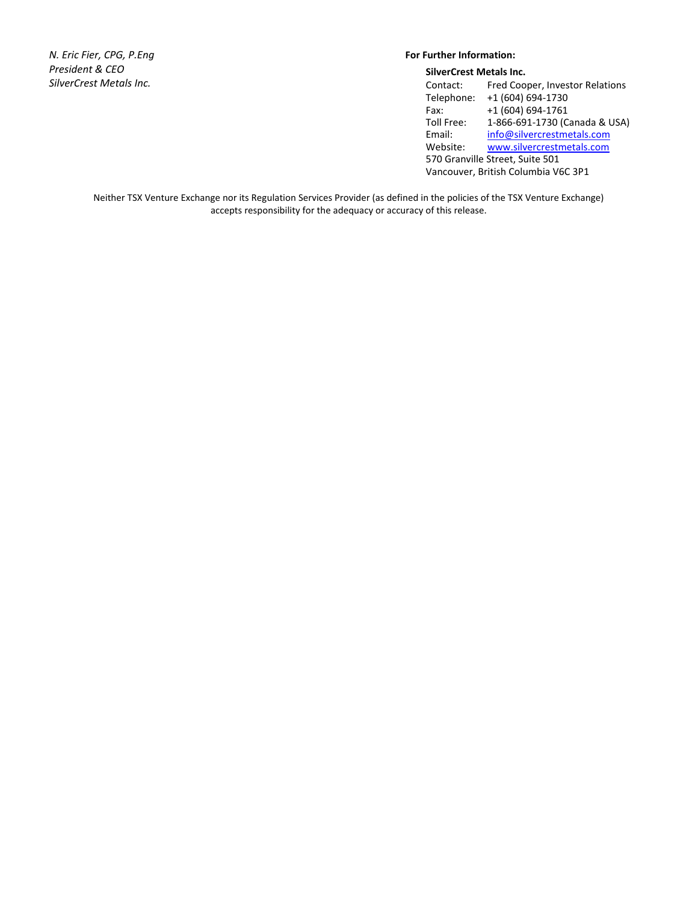*N. Eric Fier, CPG, P.Eng President & CEO SilverCrest Metals Inc.*

### **For Further Information:**

| <b>SilverCrest Metals Inc.</b>      |                                 |  |  |  |
|-------------------------------------|---------------------------------|--|--|--|
| Contact:                            | Fred Cooper, Investor Relations |  |  |  |
| Telephone:                          | +1 (604) 694-1730               |  |  |  |
| Fax:                                | +1 (604) 694-1761               |  |  |  |
| Toll Free:                          | 1-866-691-1730 (Canada & USA)   |  |  |  |
| Email:                              | info@silvercrestmetals.com      |  |  |  |
| Website:                            | www.silvercrestmetals.com       |  |  |  |
| 570 Granville Street, Suite 501     |                                 |  |  |  |
| Vancouver, British Columbia V6C 3P1 |                                 |  |  |  |

Neither TSX Venture Exchange nor its Regulation Services Provider (as defined in the policies of the TSX Venture Exchange) accepts responsibility for the adequacy or accuracy of this release.